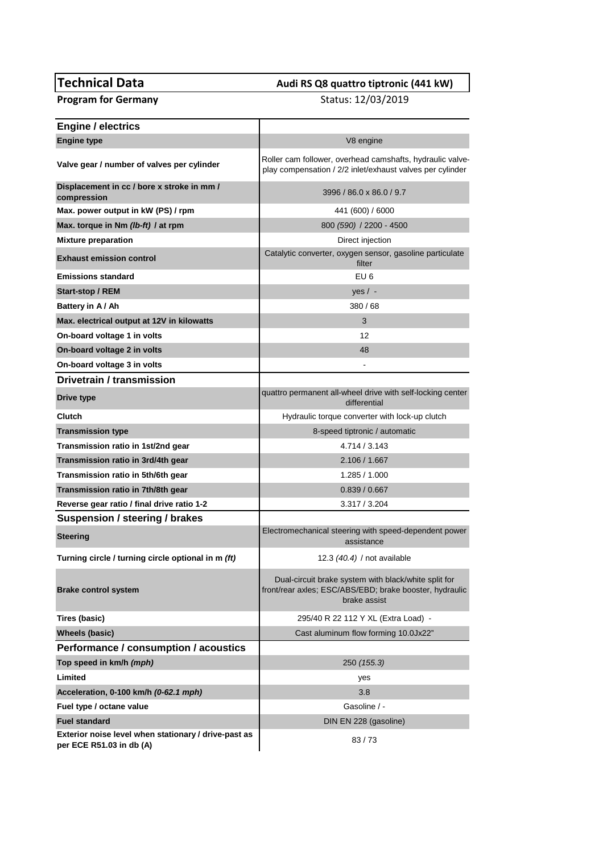## **Technical Data Audi RS Q8 quattro tiptronic (441 kW)**<br>**Program for Germany Audi RS Q8 quattro tiptronic (441 kW)**<br>Status: 12/03/2019

**Program for Germany** 

| <b>Engine / electrics</b>                                                        |                                                                                                                                 |
|----------------------------------------------------------------------------------|---------------------------------------------------------------------------------------------------------------------------------|
| <b>Engine type</b>                                                               | V8 engine                                                                                                                       |
| Valve gear / number of valves per cylinder                                       | Roller cam follower, overhead camshafts, hydraulic valve-<br>play compensation / 2/2 inlet/exhaust valves per cylinder          |
| Displacement in cc / bore x stroke in mm /<br>compression                        | 3996 / 86.0 x 86.0 / 9.7                                                                                                        |
| Max. power output in kW (PS) / rpm                                               | 441 (600) / 6000                                                                                                                |
| Max. torque in Nm (lb-ft) / at rpm                                               | 800 (590) / 2200 - 4500                                                                                                         |
| <b>Mixture preparation</b>                                                       | Direct injection                                                                                                                |
| <b>Exhaust emission control</b>                                                  | Catalytic converter, oxygen sensor, gasoline particulate<br>filter                                                              |
| <b>Emissions standard</b>                                                        | EU <sub>6</sub>                                                                                                                 |
| Start-stop / REM                                                                 | $yes / -$                                                                                                                       |
| Battery in A/Ah                                                                  | 380/68                                                                                                                          |
| Max. electrical output at 12V in kilowatts                                       | 3                                                                                                                               |
| On-board voltage 1 in volts                                                      | 12                                                                                                                              |
| On-board voltage 2 in volts                                                      | 48                                                                                                                              |
| On-board voltage 3 in volts                                                      |                                                                                                                                 |
| Drivetrain / transmission                                                        |                                                                                                                                 |
| Drive type                                                                       | quattro permanent all-wheel drive with self-locking center<br>differential                                                      |
| Clutch                                                                           | Hydraulic torque converter with lock-up clutch                                                                                  |
| <b>Transmission type</b>                                                         | 8-speed tiptronic / automatic                                                                                                   |
| Transmission ratio in 1st/2nd gear                                               | 4.714 / 3.143                                                                                                                   |
| Transmission ratio in 3rd/4th gear                                               | 2.106 / 1.667                                                                                                                   |
| Transmission ratio in 5th/6th gear                                               | 1.285 / 1.000                                                                                                                   |
| Transmission ratio in 7th/8th gear                                               | 0.839 / 0.667                                                                                                                   |
| Reverse gear ratio / final drive ratio 1-2                                       | 3.317 / 3.204                                                                                                                   |
| Suspension / steering / brakes                                                   |                                                                                                                                 |
| <b>Steering</b>                                                                  | Electromechanical steering with speed-dependent power<br>assistance                                                             |
| Turning circle / turning circle optional in m (ft)                               | 12.3 (40.4) / not available                                                                                                     |
| <b>Brake control system</b>                                                      | Dual-circuit brake system with black/white split for<br>front/rear axles; ESC/ABS/EBD; brake booster, hydraulic<br>brake assist |
| Tires (basic)                                                                    | 295/40 R 22 112 Y XL (Extra Load) -                                                                                             |
| <b>Wheels (basic)</b>                                                            | Cast aluminum flow forming 10.0Jx22"                                                                                            |
| Performance / consumption / acoustics                                            |                                                                                                                                 |
| Top speed in km/h (mph)                                                          | 250 (155.3)                                                                                                                     |
| Limited                                                                          | yes                                                                                                                             |
| Acceleration, 0-100 km/h (0-62.1 mph)                                            | 3.8                                                                                                                             |
| Fuel type / octane value                                                         | Gasoline / -                                                                                                                    |
| <b>Fuel standard</b>                                                             | DIN EN 228 (gasoline)                                                                                                           |
| Exterior noise level when stationary / drive-past as<br>per ECE R51.03 in db (A) | 83/73                                                                                                                           |